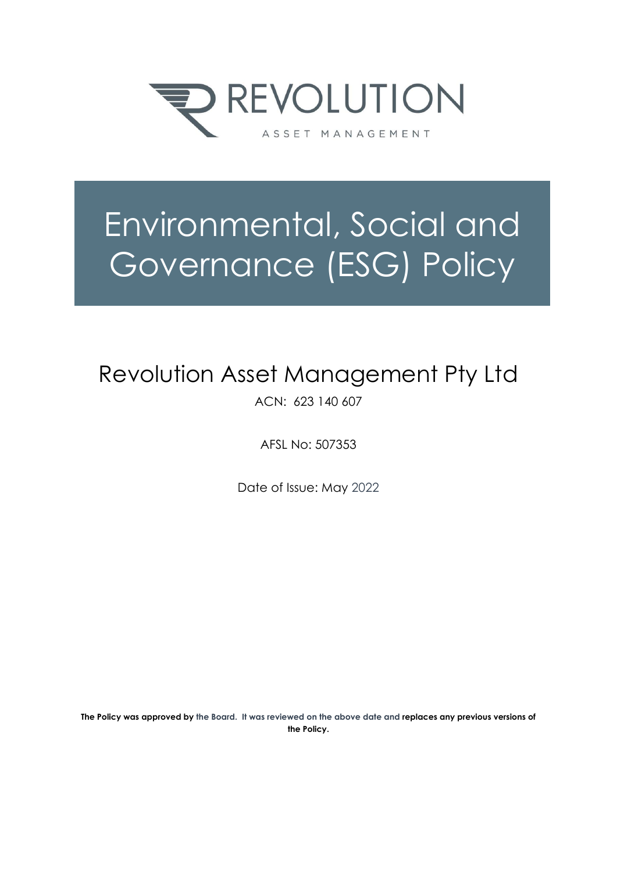

# Environmental, Social and Governance (ESG) Policy

## Revolution Asset Management Pty Ltd

ACN: 623 140 607

AFSL No: 507353

Date of Issue: May 2022

**The Policy was approved by the Board. It was reviewed on the above date and replaces any previous versions of the Policy.**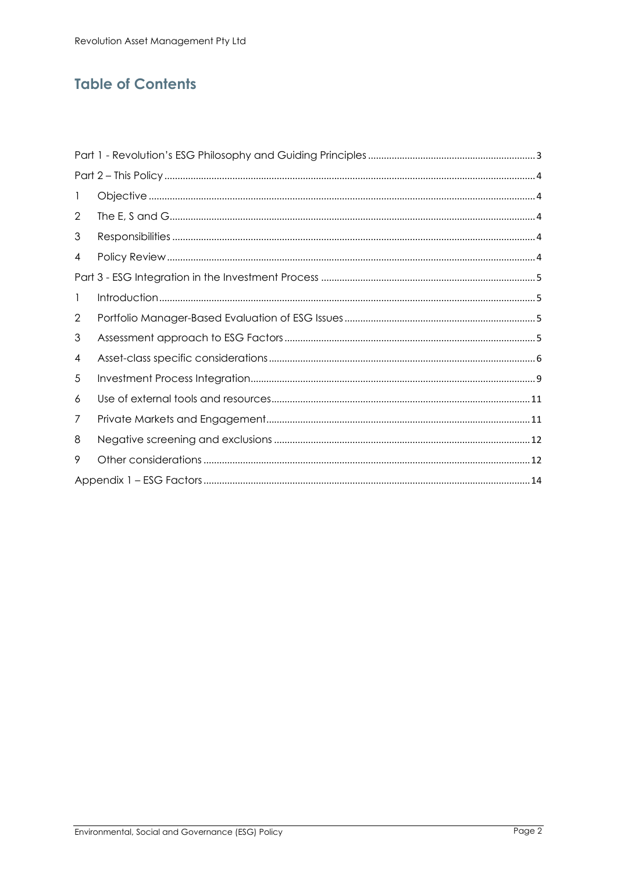## **Table of Contents**

| -1 |  |  |  |  |
|----|--|--|--|--|
| 2  |  |  |  |  |
| 3  |  |  |  |  |
| 4  |  |  |  |  |
|    |  |  |  |  |
| 1  |  |  |  |  |
| 2  |  |  |  |  |
| 3  |  |  |  |  |
| 4  |  |  |  |  |
| 5  |  |  |  |  |
| 6  |  |  |  |  |
| 7  |  |  |  |  |
| 8  |  |  |  |  |
| 9  |  |  |  |  |
|    |  |  |  |  |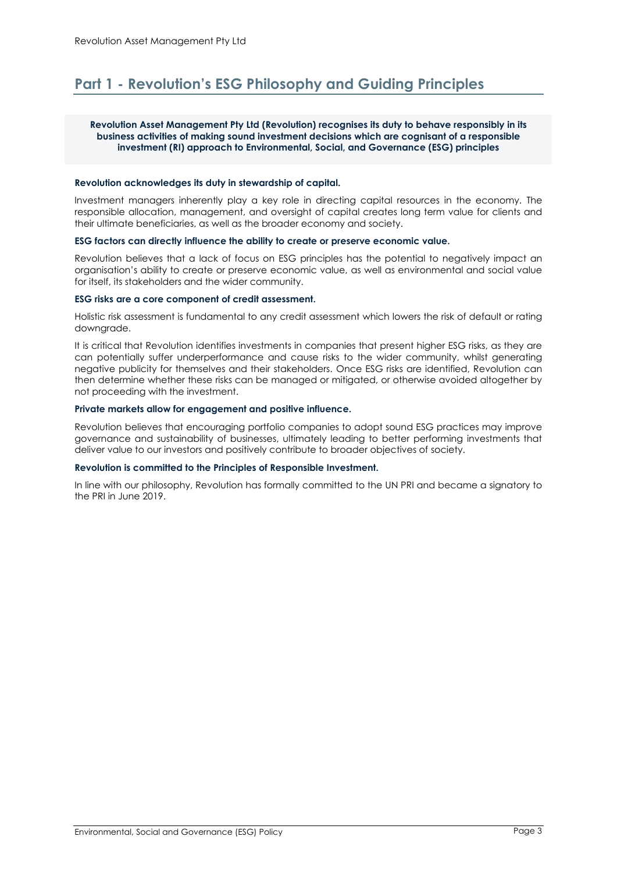## <span id="page-2-0"></span>**Part 1 - Revolution's ESG Philosophy and Guiding Principles**

#### **Revolution Asset Management Pty Ltd (Revolution) recognises its duty to behave responsibly in its business activities of making sound investment decisions which are cognisant of a responsible investment (RI) approach to Environmental, Social, and Governance (ESG) principles**

#### **Revolution acknowledges its duty in stewardship of capital.**

Investment managers inherently play a key role in directing capital resources in the economy. The responsible allocation, management, and oversight of capital creates long term value for clients and their ultimate beneficiaries, as well as the broader economy and society.

#### **ESG factors can directly influence the ability to create or preserve economic value.**

Revolution believes that a lack of focus on ESG principles has the potential to negatively impact an organisation's ability to create or preserve economic value, as well as environmental and social value for itself, its stakeholders and the wider community.

#### **ESG risks are a core component of credit assessment.**

Holistic risk assessment is fundamental to any credit assessment which lowers the risk of default or rating downgrade.

It is critical that Revolution identifies investments in companies that present higher ESG risks, as they are can potentially suffer underperformance and cause risks to the wider community, whilst generating negative publicity for themselves and their stakeholders. Once ESG risks are identified, Revolution can then determine whether these risks can be managed or mitigated, or otherwise avoided altogether by not proceeding with the investment.

#### **Private markets allow for engagement and positive influence.**

Revolution believes that encouraging portfolio companies to adopt sound ESG practices may improve governance and sustainability of businesses, ultimately leading to better performing investments that deliver value to our investors and positively contribute to broader objectives of society.

#### **Revolution is committed to the Principles of Responsible Investment.**

In line with our philosophy, Revolution has formally committed to the UN PRI and became a signatory to the PRI in June 2019.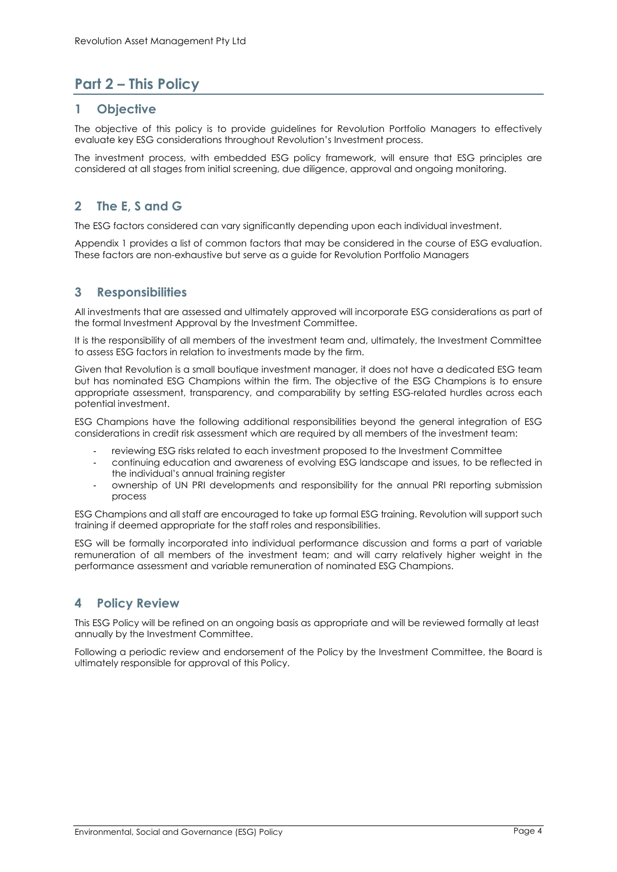## <span id="page-3-0"></span>**Part 2 – This Policy**

#### <span id="page-3-1"></span>**1 Objective**

The objective of this policy is to provide guidelines for Revolution Portfolio Managers to effectively evaluate key ESG considerations throughout Revolution's Investment process.

The investment process, with embedded ESG policy framework, will ensure that ESG principles are considered at all stages from initial screening, due diligence, approval and ongoing monitoring.

## <span id="page-3-2"></span>**2 The E, S and G**

The ESG factors considered can vary significantly depending upon each individual investment.

Appendix 1 provides a list of common factors that may be considered in the course of ESG evaluation. These factors are non-exhaustive but serve as a guide for Revolution Portfolio Managers

#### <span id="page-3-3"></span>**3 Responsibilities**

All investments that are assessed and ultimately approved will incorporate ESG considerations as part of the formal Investment Approval by the Investment Committee.

It is the responsibility of all members of the investment team and, ultimately, the Investment Committee to assess ESG factors in relation to investments made by the firm.

Given that Revolution is a small boutique investment manager, it does not have a dedicated ESG team but has nominated ESG Champions within the firm. The objective of the ESG Champions is to ensure appropriate assessment, transparency, and comparability by setting ESG-related hurdles across each potential investment.

ESG Champions have the following additional responsibilities beyond the general integration of ESG considerations in credit risk assessment which are required by all members of the investment team:

- reviewing ESG risks related to each investment proposed to the Investment Committee
- continuing education and awareness of evolving ESG landscape and issues, to be reflected in the individual's annual training register
- ownership of UN PRI developments and responsibility for the annual PRI reporting submission process

ESG Champions and all staff are encouraged to take up formal ESG training. Revolution will support such training if deemed appropriate for the staff roles and responsibilities.

ESG will be formally incorporated into individual performance discussion and forms a part of variable remuneration of all members of the investment team; and will carry relatively higher weight in the performance assessment and variable remuneration of nominated ESG Champions.

#### <span id="page-3-4"></span>**4 Policy Review**

This ESG Policy will be refined on an ongoing basis as appropriate and will be reviewed formally at least annually by the Investment Committee.

Following a periodic review and endorsement of the Policy by the Investment Committee, the Board is ultimately responsible for approval of this Policy.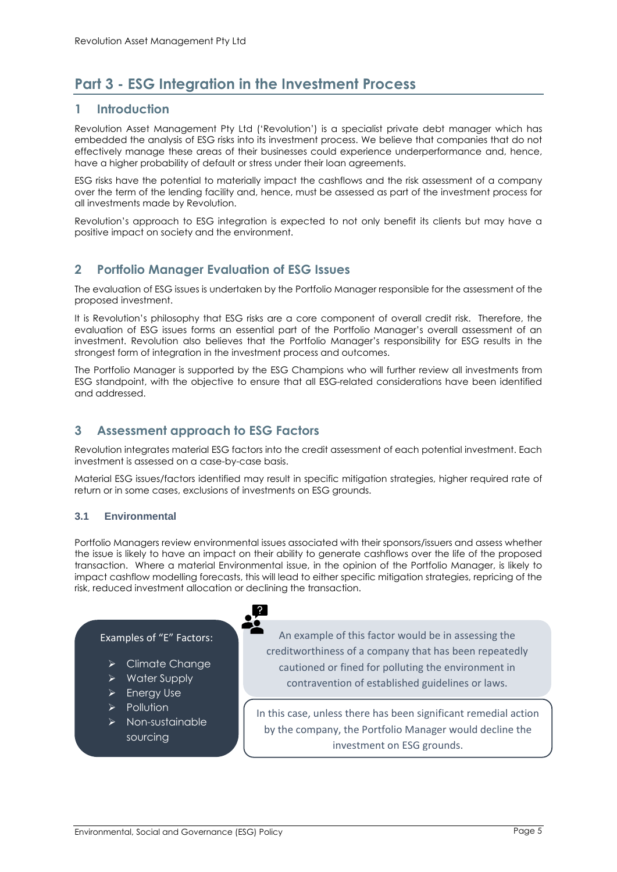## <span id="page-4-0"></span>**Part 3 - ESG Integration in the Investment Process**

#### <span id="page-4-1"></span>**1 Introduction**

Revolution Asset Management Pty Ltd ('Revolution') is a specialist private debt manager which has embedded the analysis of ESG risks into its investment process. We believe that companies that do not effectively manage these areas of their businesses could experience underperformance and, hence, have a higher probability of default or stress under their loan agreements.

ESG risks have the potential to materially impact the cashflows and the risk assessment of a company over the term of the lending facility and, hence, must be assessed as part of the investment process for all investments made by Revolution.

Revolution's approach to ESG integration is expected to not only benefit its clients but may have a positive impact on society and the environment.

#### <span id="page-4-2"></span>**2 Portfolio Manager Evaluation of ESG Issues**

The evaluation of ESG issues is undertaken by the Portfolio Manager responsible for the assessment of the proposed investment.

It is Revolution's philosophy that ESG risks are a core component of overall credit risk. Therefore, the evaluation of ESG issues forms an essential part of the Portfolio Manager's overall assessment of an investment. Revolution also believes that the Portfolio Manager's responsibility for ESG results in the strongest form of integration in the investment process and outcomes.

The Portfolio Manager is supported by the ESG Champions who will further review all investments from ESG standpoint, with the objective to ensure that all ESG-related considerations have been identified and addressed.

### <span id="page-4-3"></span>**3 Assessment approach to ESG Factors**

Revolution integrates material ESG factors into the credit assessment of each potential investment. Each investment is assessed on a case-by-case basis.

Material ESG issues/factors identified may result in specific mitigation strategies, higher required rate of return or in some cases, exclusions of investments on ESG grounds.

#### **3.1 Environmental**

Portfolio Managers review environmental issues associated with their sponsors/issuers and assess whether the issue is likely to have an impact on their ability to generate cashflows over the life of the proposed transaction. Where a material Environmental issue, in the opinion of the Portfolio Manager, is likely to impact cashflow modelling forecasts, this will lead to either specific mitigation strategies, repricing of the risk, reduced investment allocation or declining the transaction.

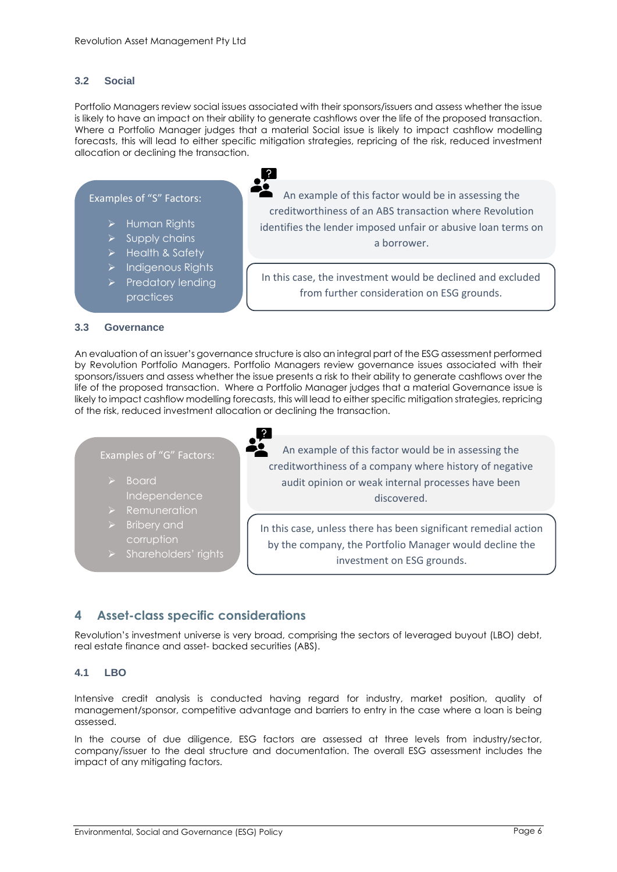#### **3.2 Social**

Portfolio Managers review social issues associated with their sponsors/issuers and assess whether the issue is likely to have an impact on their ability to generate cashflows over the life of the proposed transaction. Where a Portfolio Manager judges that a material Social issue is likely to impact cashflow modelling forecasts, this will lead to either specific mitigation strategies, repricing of the risk, reduced investment allocation or declining the transaction.



An evaluation of an issuer's governance structure is also an integral part of the ESG assessment performed by Revolution Portfolio Managers. Portfolio Managers review governance issues associated with their sponsors/issuers and assess whether the issue presents a risk to their ability to generate cashflows over the life of the proposed transaction. Where a Portfolio Manager judges that a material Governance issue is likely to impact cashflow modelling forecasts, this will lead to either specific mitigation strategies, repricing of the risk, reduced investment allocation or declining the transaction.

Examples of "G" Factors: ➢ Board Independence ➢ Bribery and corruption ➢ Shareholders' rights An example of this factor would be in assessing the creditworthiness of a company where history of negative audit opinion or weak internal processes have been discovered. In this case, unless there has been significant remedial action by the company, the Portfolio Manager would decline the investment on ESG grounds.

#### <span id="page-5-0"></span>**4 Asset-class specific considerations**

Revolution's investment universe is very broad, comprising the sectors of leveraged buyout (LBO) debt, real estate finance and asset- backed securities (ABS).

#### **4.1 LBO**

Intensive credit analysis is conducted having regard for industry, market position, quality of management/sponsor, competitive advantage and barriers to entry in the case where a loan is being assessed.

In the course of due diligence, ESG factors are assessed at three levels from industry/sector, company/issuer to the deal structure and documentation. The overall ESG assessment includes the impact of any mitigating factors.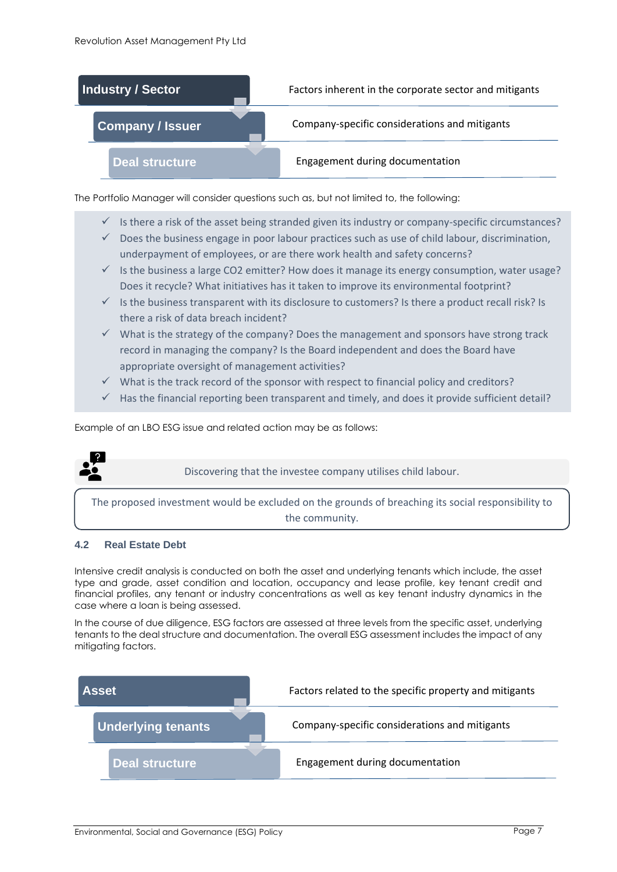

The Portfolio Manager will consider questions such as, but not limited to, the following:

- $\checkmark$  Is there a risk of the asset being stranded given its industry or company-specific circumstances?
- $\checkmark$  Does the business engage in poor labour practices such as use of child labour, discrimination, underpayment of employees, or are there work health and safety concerns?
- $\checkmark$  Is the business a large CO2 emitter? How does it manage its energy consumption, water usage? Does it recycle? What initiatives has it taken to improve its environmental footprint?
- $\checkmark$  Is the business transparent with its disclosure to customers? Is there a product recall risk? Is there a risk of data breach incident?
- $\checkmark$  What is the strategy of the company? Does the management and sponsors have strong track record in managing the company? Is the Board independent and does the Board have appropriate oversight of management activities?
- $\checkmark$  What is the track record of the sponsor with respect to financial policy and creditors?
- $\checkmark$  Has the financial reporting been transparent and timely, and does it provide sufficient detail?

Example of an LBO ESG issue and related action may be as follows:



Discovering that the investee company utilises child labour.

The proposed investment would be excluded on the grounds of breaching its social responsibility to the community.

#### **4.2 Real Estate Debt**

Intensive credit analysis is conducted on both the asset and underlying tenants which include, the asset type and grade, asset condition and location, occupancy and lease profile, key tenant credit and financial profiles, any tenant or industry concentrations as well as key tenant industry dynamics in the case where a loan is being assessed.

In the course of due diligence, ESG factors are assessed at three levels from the specific asset, underlying tenants to the deal structure and documentation. The overall ESG assessment includes the impact of any mitigating factors.

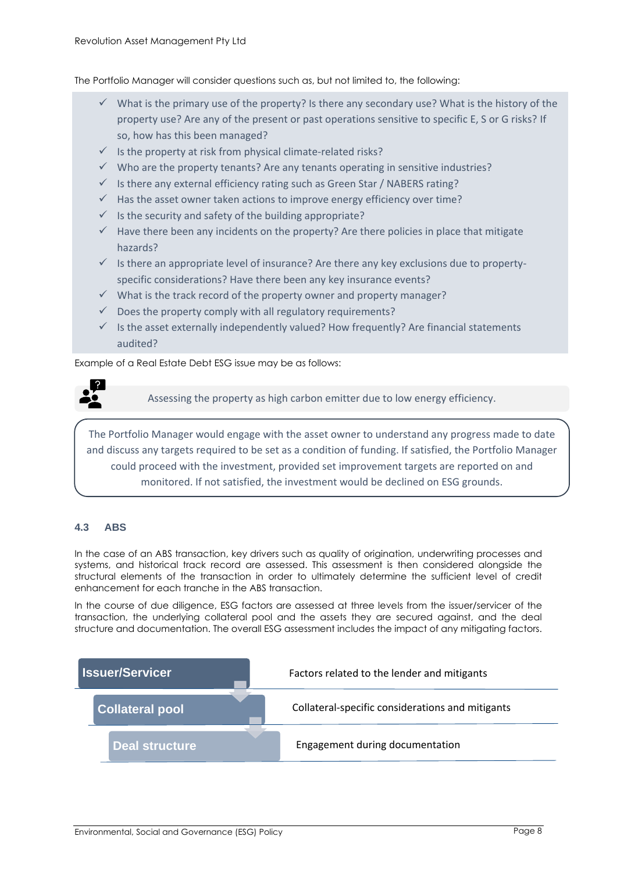The Portfolio Manager will consider questions such as, but not limited to, the following:

- $\checkmark$  What is the primary use of the property? Is there any secondary use? What is the history of the property use? Are any of the present or past operations sensitive to specific E, S or G risks? If so, how has this been managed?
- $\checkmark$  Is the property at risk from physical climate-related risks?
- $\checkmark$  Who are the property tenants? Are any tenants operating in sensitive industries?
- $\checkmark$  Is there any external efficiency rating such as Green Star / NABERS rating?
- $\checkmark$  Has the asset owner taken actions to improve energy efficiency over time?
- $\checkmark$  Is the security and safety of the building appropriate?
- $\checkmark$  Have there been any incidents on the property? Are there policies in place that mitigate hazards?
- $\checkmark$  Is there an appropriate level of insurance? Are there any key exclusions due to propertyspecific considerations? Have there been any key insurance events?
- $\checkmark$  What is the track record of the property owner and property manager?
- $\checkmark$  Does the property comply with all regulatory requirements?
- $\checkmark$  Is the asset externally independently valued? How frequently? Are financial statements audited?

Example of a Real Estate Debt ESG issue may be as follows:



Assessing the property as high carbon emitter due to low energy efficiency.

The Portfolio Manager would engage with the asset owner to understand any progress made to date and discuss any targets required to be set as a condition of funding. If satisfied, the Portfolio Manager could proceed with the investment, provided set improvement targets are reported on and monitored. If not satisfied, the investment would be declined on ESG grounds.

#### **4.3 ABS**

In the case of an ABS transaction, key drivers such as quality of origination, underwriting processes and systems, and historical track record are assessed. This assessment is then considered alongside the structural elements of the transaction in order to ultimately determine the sufficient level of credit enhancement for each tranche in the ABS transaction.

In the course of due diligence, ESG factors are assessed at three levels from the issuer/servicer of the transaction, the underlying collateral pool and the assets they are secured against, and the deal structure and documentation. The overall ESG assessment includes the impact of any mitigating factors.

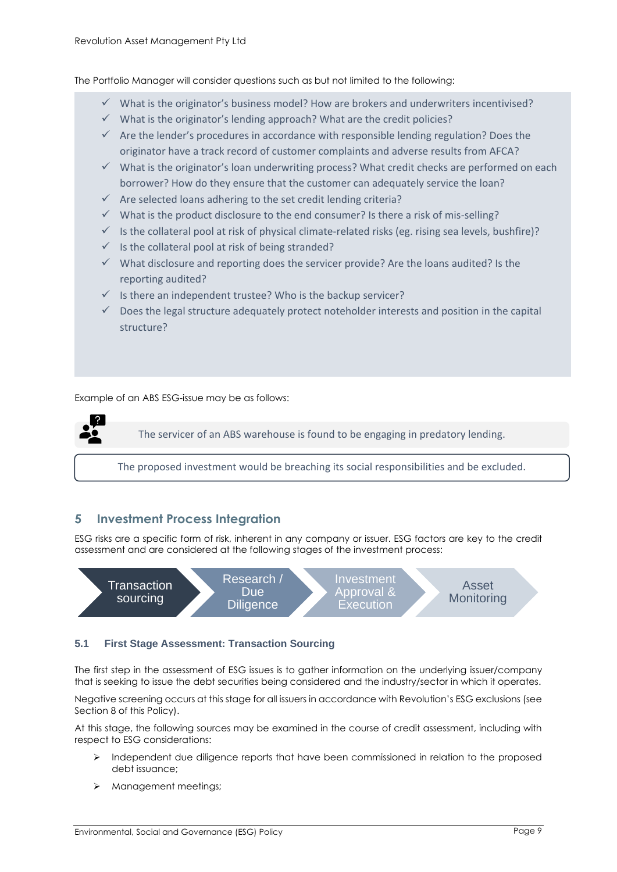The Portfolio Manager will consider questions such as but not limited to the following:

- $\checkmark$  What is the originator's business model? How are brokers and underwriters incentivised?
- $\checkmark$  What is the originator's lending approach? What are the credit policies?
- $\checkmark$  Are the lender's procedures in accordance with responsible lending regulation? Does the originator have a track record of customer complaints and adverse results from AFCA?
- $\checkmark$  What is the originator's loan underwriting process? What credit checks are performed on each borrower? How do they ensure that the customer can adequately service the loan?
- $\checkmark$  Are selected loans adhering to the set credit lending criteria?
- $\checkmark$  What is the product disclosure to the end consumer? Is there a risk of mis-selling?
- $\checkmark$  Is the collateral pool at risk of physical climate-related risks (eg. rising sea levels, bushfire)?
- $\checkmark$  Is the collateral pool at risk of being stranded?
- $\checkmark$  What disclosure and reporting does the servicer provide? Are the loans audited? Is the reporting audited?
- $\checkmark$  Is there an independent trustee? Who is the backup servicer?
- $\checkmark$  Does the legal structure adequately protect noteholder interests and position in the capital structure?

Example of an ABS ESG-issue may be as follows:

The servicer of an ABS warehouse is found to be engaging in predatory lending.

The proposed investment would be breaching its social responsibilities and be excluded.

#### <span id="page-8-0"></span>**5 Investment Process Integration**

ESG risks are a specific form of risk, inherent in any company or issuer. ESG factors are key to the credit assessment and are considered at the following stages of the investment process:



#### **5.1 First Stage Assessment: Transaction Sourcing**

The first step in the assessment of ESG issues is to gather information on the underlying issuer/company that is seeking to issue the debt securities being considered and the industry/sector in which it operates.

Negative screening occurs at this stage for all issuers in accordance with Revolution's ESG exclusions (see Section 8 of this Policy).

At this stage, the following sources may be examined in the course of credit assessment, including with respect to ESG considerations:

- ➢ Independent due diligence reports that have been commissioned in relation to the proposed debt issuance;
- ➢ Management meetings;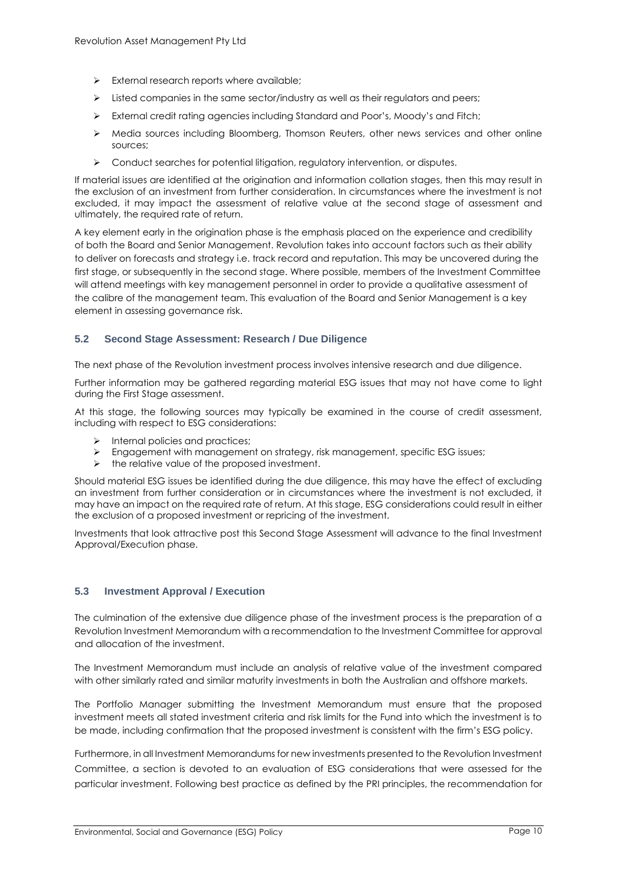- $\triangleright$  External research reports where available;
- $\triangleright$  Listed companies in the same sector/industry as well as their regulators and peers;
- ➢ External credit rating agencies including Standard and Poor's, Moody's and Fitch;
- ➢ Media sources including Bloomberg, Thomson Reuters, other news services and other online sources;
- ➢ Conduct searches for potential litigation, regulatory intervention, or disputes.

If material issues are identified at the origination and information collation stages, then this may result in the exclusion of an investment from further consideration. In circumstances where the investment is not excluded, it may impact the assessment of relative value at the second stage of assessment and ultimately, the required rate of return.

A key element early in the origination phase is the emphasis placed on the experience and credibility of both the Board and Senior Management. Revolution takes into account factors such as their ability to deliver on forecasts and strategy i.e. track record and reputation. This may be uncovered during the first stage, or subsequently in the second stage. Where possible, members of the Investment Committee will attend meetings with key management personnel in order to provide a qualitative assessment of the calibre of the management team. This evaluation of the Board and Senior Management is a key element in assessing governance risk.

#### **5.2 Second Stage Assessment: Research / Due Diligence**

The next phase of the Revolution investment process involves intensive research and due diligence.

Further information may be gathered regarding material ESG issues that may not have come to light during the First Stage assessment.

At this stage, the following sources may typically be examined in the course of credit assessment, including with respect to ESG considerations:

- ➢ Internal policies and practices;
- ➢ Engagement with management on strategy, risk management, specific ESG issues;
- the relative value of the proposed investment.

Should material ESG issues be identified during the due diligence, this may have the effect of excluding an investment from further consideration or in circumstances where the investment is not excluded, it may have an impact on the required rate of return. At this stage, ESG considerations could result in either the exclusion of a proposed investment or repricing of the investment.

Investments that look attractive post this Second Stage Assessment will advance to the final Investment Approval/Execution phase.

#### **5.3 Investment Approval / Execution**

The culmination of the extensive due diligence phase of the investment process is the preparation of a Revolution Investment Memorandum with a recommendation to the Investment Committee for approval and allocation of the investment.

The Investment Memorandum must include an analysis of relative value of the investment compared with other similarly rated and similar maturity investments in both the Australian and offshore markets.

The Portfolio Manager submitting the Investment Memorandum must ensure that the proposed investment meets all stated investment criteria and risk limits for the Fund into which the investment is to be made, including confirmation that the proposed investment is consistent with the firm's ESG policy.

Furthermore, in all Investment Memorandums for new investments presented to the Revolution Investment Committee, a section is devoted to an evaluation of ESG considerations that were assessed for the particular investment. Following best practice as defined by the PRI principles, the recommendation for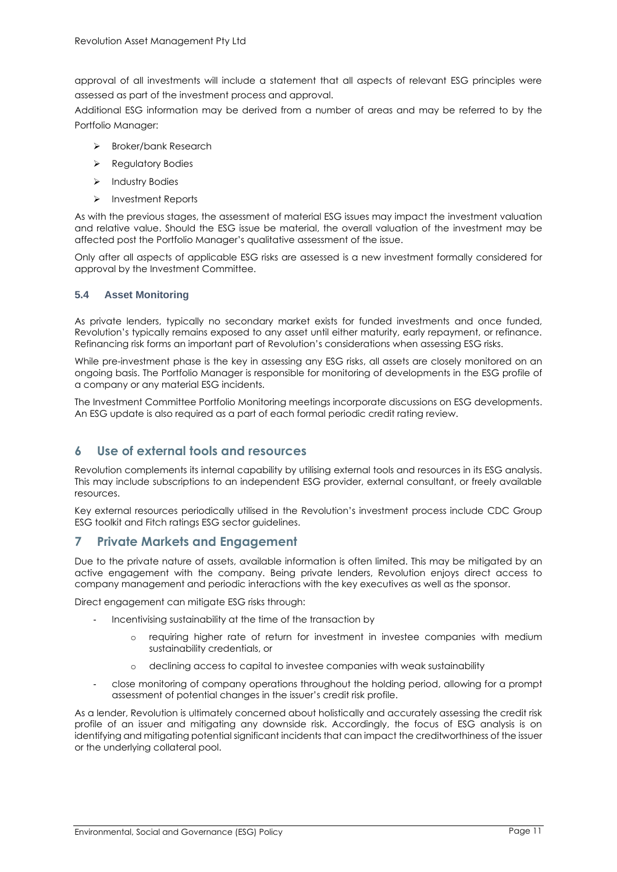approval of all investments will include a statement that all aspects of relevant ESG principles were assessed as part of the investment process and approval.

Additional ESG information may be derived from a number of areas and may be referred to by the Portfolio Manager:

- ➢ Broker/bank Research
- ➢ Regulatory Bodies
- ➢ Industry Bodies
- ➢ Investment Reports

As with the previous stages, the assessment of material ESG issues may impact the investment valuation and relative value. Should the ESG issue be material, the overall valuation of the investment may be affected post the Portfolio Manager's qualitative assessment of the issue.

Only after all aspects of applicable ESG risks are assessed is a new investment formally considered for approval by the Investment Committee.

#### **5.4 Asset Monitoring**

As private lenders, typically no secondary market exists for funded investments and once funded, Revolution's typically remains exposed to any asset until either maturity, early repayment, or refinance. Refinancing risk forms an important part of Revolution's considerations when assessing ESG risks.

While pre-investment phase is the key in assessing any ESG risks, all assets are closely monitored on an ongoing basis. The Portfolio Manager is responsible for monitoring of developments in the ESG profile of a company or any material ESG incidents.

The Investment Committee Portfolio Monitoring meetings incorporate discussions on ESG developments. An ESG update is also required as a part of each formal periodic credit rating review.

#### <span id="page-10-0"></span>**6 Use of external tools and resources**

Revolution complements its internal capability by utilising external tools and resources in its ESG analysis. This may include subscriptions to an independent ESG provider, external consultant, or freely available resources.

Key external resources periodically utilised in the Revolution's investment process include CDC Group ESG toolkit and Fitch ratings ESG sector guidelines.

#### <span id="page-10-1"></span>**7 Private Markets and Engagement**

Due to the private nature of assets, available information is often limited. This may be mitigated by an active engagement with the company. Being private lenders, Revolution enjoys direct access to company management and periodic interactions with the key executives as well as the sponsor.

Direct engagement can mitigate ESG risks through:

- Incentivising sustainability at the time of the transaction by
	- requiring higher rate of return for investment in investee companies with medium sustainability credentials, or
	- o declining access to capital to investee companies with weak sustainability
- close monitoring of company operations throughout the holding period, allowing for a prompt assessment of potential changes in the issuer's credit risk profile.

As a lender, Revolution is ultimately concerned about holistically and accurately assessing the credit risk profile of an issuer and mitigating any downside risk. Accordingly, the focus of ESG analysis is on identifying and mitigating potential significant incidents that can impact the creditworthiness of the issuer or the underlying collateral pool.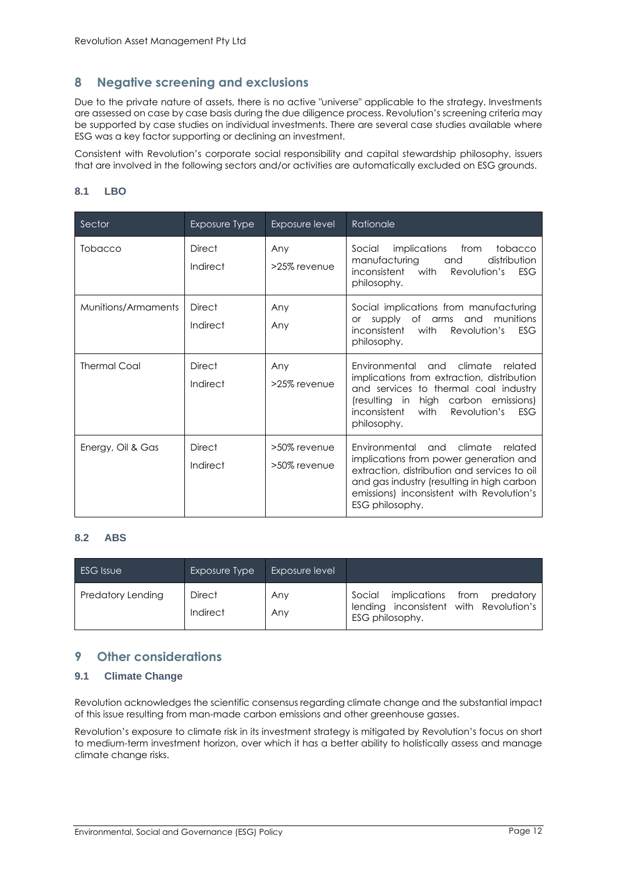#### <span id="page-11-0"></span>**8 Negative screening and exclusions**

Due to the private nature of assets, there is no active "universe" applicable to the strategy. Investments are assessed on case by case basis during the due diligence process. Revolution's screening criteria may be supported by case studies on individual investments. There are several case studies available where ESG was a key factor supporting or declining an investment.

Consistent with Revolution's corporate social responsibility and capital stewardship philosophy, issuers that are involved in the following sectors and/or activities are automatically excluded on ESG grounds.

#### **8.1 LBO**

| Sector              | Exposure Type             | Exposure level               | Rationale                                                                                                                                                                                                                                       |
|---------------------|---------------------------|------------------------------|-------------------------------------------------------------------------------------------------------------------------------------------------------------------------------------------------------------------------------------------------|
| Tobacco             | <b>Direct</b><br>Indirect | Any<br>>25% revenue          | implications from<br>Social<br>tobacco<br>manufacturing<br>distribution<br>and<br>inconsistent with<br>Revolution's<br><b>ESG</b><br>philosophy.                                                                                                |
| Munitions/Armaments | <b>Direct</b><br>Indirect | Any<br>Any                   | Social implications from manufacturing<br>supply of arms and munitions<br><b>or</b><br>with Revolution's<br>inconsistent<br>ESG<br>philosophy.                                                                                                  |
| <b>Thermal Coal</b> | <b>Direct</b><br>Indirect | Any<br>>25% revenue          | climate<br>Environmental<br>and<br>related<br>implications from extraction, distribution<br>and services to thermal coal industry<br>(resulting in high carbon emissions)<br><i>inconsistent</i><br>ESG<br>with<br>Revolution's<br>philosophy.  |
| Energy, Oil & Gas   | <b>Direct</b><br>Indirect | >50% revenue<br>>50% revenue | climate<br>Environmental and<br>related<br>implications from power generation and<br>extraction, distribution and services to oil<br>and gas industry (resulting in high carbon<br>emissions) inconsistent with Revolution's<br>ESG philosophy. |

#### **8.2 ABS**

| <b>ESG</b> Issue         | Exposure Type             | Exposure level |                                                                                                       |
|--------------------------|---------------------------|----------------|-------------------------------------------------------------------------------------------------------|
| <b>Predatory Lending</b> | <b>Direct</b><br>Indirect | Any<br>Any     | implications from<br>Social<br>predatory<br>lending inconsistent with Revolution's<br>ESG philosophy. |

#### <span id="page-11-1"></span>**9 Other considerations**

#### **9.1 Climate Change**

Revolution acknowledges the scientific consensus regarding climate change and the substantial impact of this issue resulting from man-made carbon emissions and other greenhouse gasses.

Revolution's exposure to climate risk in its investment strategy is mitigated by Revolution's focus on short to medium-term investment horizon, over which it has a better ability to holistically assess and manage climate change risks.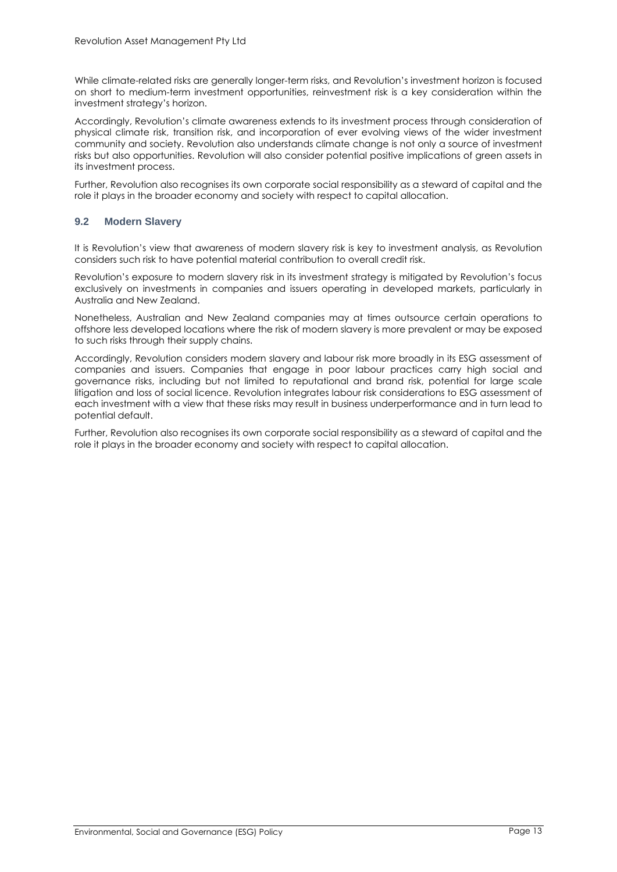While climate-related risks are generally longer-term risks, and Revolution's investment horizon is focused on short to medium-term investment opportunities, reinvestment risk is a key consideration within the investment strategy's horizon.

Accordingly, Revolution's climate awareness extends to its investment process through consideration of physical climate risk, transition risk, and incorporation of ever evolving views of the wider investment community and society. Revolution also understands climate change is not only a source of investment risks but also opportunities. Revolution will also consider potential positive implications of green assets in its investment process.

Further, Revolution also recognises its own corporate social responsibility as a steward of capital and the role it plays in the broader economy and society with respect to capital allocation.

#### **9.2 Modern Slavery**

It is Revolution's view that awareness of modern slavery risk is key to investment analysis, as Revolution considers such risk to have potential material contribution to overall credit risk.

Revolution's exposure to modern slavery risk in its investment strategy is mitigated by Revolution's focus exclusively on investments in companies and issuers operating in developed markets, particularly in Australia and New Zealand.

Nonetheless, Australian and New Zealand companies may at times outsource certain operations to offshore less developed locations where the risk of modern slavery is more prevalent or may be exposed to such risks through their supply chains.

Accordingly, Revolution considers modern slavery and labour risk more broadly in its ESG assessment of companies and issuers. Companies that engage in poor labour practices carry high social and governance risks, including but not limited to reputational and brand risk, potential for large scale litigation and loss of social licence. Revolution integrates labour risk considerations to ESG assessment of each investment with a view that these risks may result in business underperformance and in turn lead to potential default.

Further, Revolution also recognises its own corporate social responsibility as a steward of capital and the role it plays in the broader economy and society with respect to capital allocation.